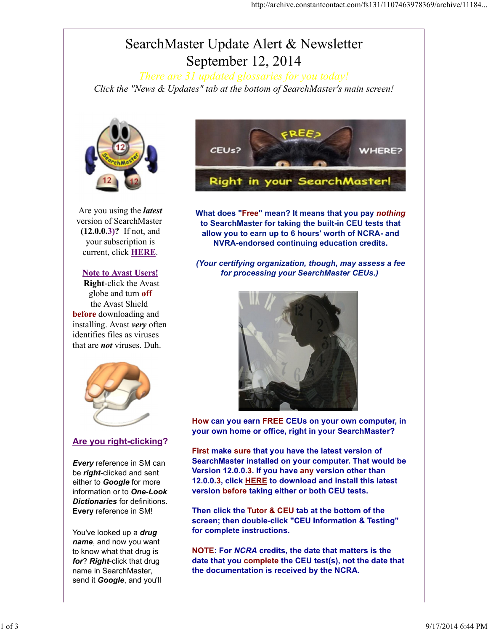# SearchMaster Update Alert & Newsletter September 12, 2014

*There are 31 updated glossaries for you today! Click the "News & Updates" tab at the bottom of SearchMaster's main screen!*



Are you using the *latest* version of SearchMaster (12.0.0.3)? If not, and your subscription is current, click HERE.

#### Note to Avast Users!

Right-click the Avast globe and turn off the Avast Shield before downloading and installing. Avast *very* often identifies files as viruses that are *not* viruses. Duh.



### Are you right-clicking?

*Every* reference in SM can be *right*-clicked and sent either to *Google* for more information or to *One-Look Dictionaries* for definitions. Every reference in SM!

You've looked up a *drug name*, and now you want to know what that drug is *for*? *Right*-click that drug name in SearchMaster, send it *Google*, and you'll



What does "Free" mean? It means that you pay *nothing* to SearchMaster for taking the built-in CEU tests that allow you to earn up to 6 hours' worth of NCRA- and NVRA-endorsed continuing education credits.

*(Your certifying organization, though, may assess a fee for processing your SearchMaster CEUs.)* 



How can you earn FREE CEUs on your own computer, in your own home or office, right in your SearchMaster?

First make sure that you have the latest version of SearchMaster installed on your computer. That would be Version 12.0.0.3. If you have any version other than 12.0.0.3, click HERE to download and install this latest version before taking either or both CEU tests.

Then click the Tutor & CEU tab at the bottom of the screen; then double-click "CEU Information & Testing" for complete instructions.

NOTE: For *NCRA* credits, the date that matters is the date that you complete the CEU test(s), not the date that the documentation is received by the NCRA.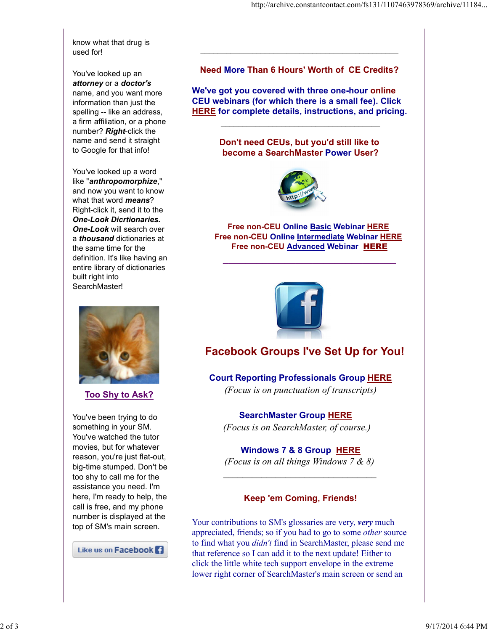know what that drug is used for!

You've looked up an *attorney* or a *doctor's* name, and you want more information than just the spelling -- like an address, a firm affiliation, or a phone number? *Right*-click the name and send it straight to Google for that info!

You've looked up a word like "*anthropomorphize*," and now you want to know what that word *means*? Right-click it, send it to the *One-Look Dicrtionaries. One-Look* will search over a *thousand* dictionaries at the same time for the definition. It's like having an entire library of dictionaries built right into SearchMaster!

Too Shy to Ask?

You've been trying to do something in your SM. You've watched the tutor movies, but for whatever reason, you're just flat-out, big-time stumped. Don't be too shy to call me for the assistance you need. I'm here, I'm ready to help, the call is free, and my phone number is displayed at the top of SM's main screen.

Like us on Facebook **Fi** 

Need More Than 6 Hours' Worth of CE Credits?

\_\_\_\_\_\_\_\_\_\_\_\_\_\_\_\_\_\_\_\_\_\_\_\_\_\_\_\_\_\_\_\_\_\_\_\_\_\_\_\_\_\_\_\_\_\_

We've got you covered with three one-hour online CEU webinars (for which there is a small fee). Click HERE for complete details, instructions, and pricing.

\_\_\_\_\_\_\_\_\_\_\_\_\_\_\_\_\_\_\_\_\_\_\_\_\_\_\_\_\_\_\_\_\_\_\_\_\_

Don't need CEUs, but you'd still like to become a SearchMaster Power User?



**Free non-CEU Online Basic Webinar HERE** Free non-CEU Online Intermediate Webinar HERE Free non-CEU Advanced Webinar HERE

\_\_\_\_\_\_\_\_\_\_\_\_\_\_\_\_\_\_\_\_\_\_\_\_\_\_\_\_\_\_\_



# Facebook Groups I've Set Up for You!

Court Reporting Professionals Group HERE *(Focus is on punctuation of transcripts)*

SearchMaster Group HERE *(Focus is on SearchMaster, of course.)*

Windows 7 & 8 Group HERE

*(Focus is on all things Windows 7 & 8) \_\_\_\_\_\_\_\_\_\_\_\_\_\_\_\_\_\_\_\_\_\_\_\_\_\_\_\_\_\_\_\_*

### Keep 'em Coming, Friends!

Your contributions to SM's glossaries are very, *very* much appreciated, friends; so if you had to go to some *other* source to find what you *didn't* find in SearchMaster, please send me that reference so I can add it to the next update! Either to click the little white tech support envelope in the extreme lower right corner of SearchMaster's main screen or send an